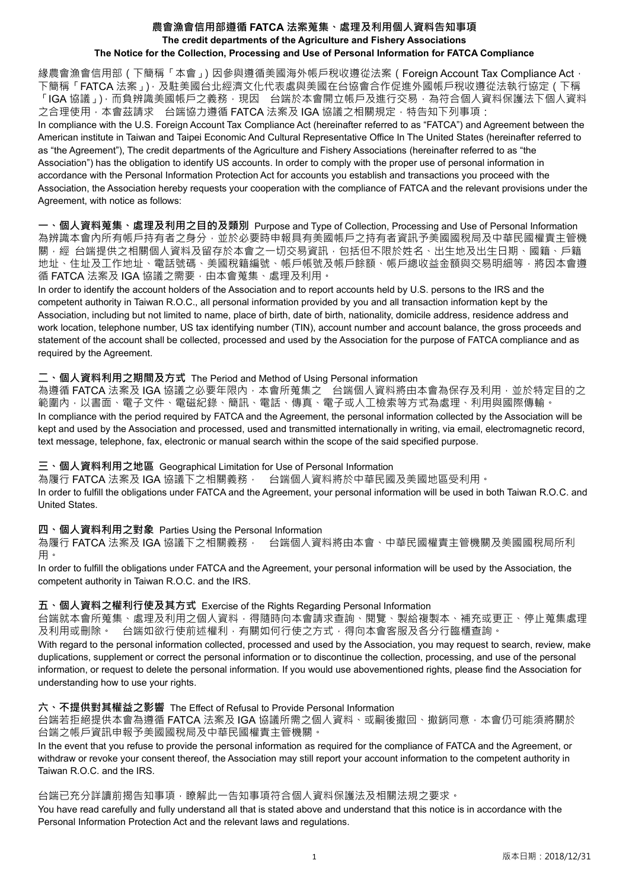### **農會漁會信用部遵循 FATCA 法案蒐集、處理及利用個人資料告知事項 The credit departments of the Agriculture and Fishery Associations The Notice for the Collection, Processing and Use of Personal Information for FATCA Compliance**

緣農會漁會信用部(下簡稱「本會」)因參與遵循美國海外帳戶稅收遵從法案(Foreign Account Tax Compliance Act, 下簡稱「FATCA 法案」),及駐美國台北經濟文化代表處與美國在台協會合作促進外國帳戶稅收遵從法執行協定(下稱 「IGA 協議」),而負辨識美國帳戶之義務,現因 台端於本會開立帳戶及進行交易,為符合個人資料保護法下個人資料 之合理使用,本會茲請求 台端協力遵循 FATCA 法案及 IGA 協議之相關規定,特告知下列事項: In compliance with the U.S. Foreign Account Tax Compliance Act (hereinafter referred to as "FATCA") and Agreement between the American institute in Taiwan and Taipei Economic And Cultural Representative Office In The United States (hereinafter referred to as "the Agreement"), The credit departments of the Agriculture and Fishery Associations (hereinafter referred to as "the Association") has the obligation to identify US accounts. In order to comply with the proper use of personal information in accordance with the Personal Information Protection Act for accounts you establish and transactions you proceed with the Association, the Association hereby requests your cooperation with the compliance of FATCA and the relevant provisions under the Agreement, with notice as follows:

**一、個人資料蒐集、處理及利用之目的及類別** Purpose and Type of Collection, Processing and Use of Personal Information 為辨識本會內所有帳戶持有者之身分,並於必要時申報具有美國帳戶之持有者資訊予美國國稅局及中華民國權責主管機 關,經 台端提供之相關個人資料及留存於本會之一切交易資訊,包括但不限於姓名、出生地及出生日期、國籍、戶籍 地址、住址及工作地址、電話號碼、美國稅籍編號、帳戶帳號及帳戶餘額、帳戶總收益金額與交易明細等,將因本會遵 循 FATCA 法案及 IGA 協議之需要,由本會蒐集、處理及利用。

In order to identify the account holders of the Association and to report accounts held by U.S. persons to the IRS and the competent authority in Taiwan R.O.C., all personal information provided by you and all transaction information kept by the Association, including but not limited to name, place of birth, date of birth, nationality, domicile address, residence address and work location, telephone number, US tax identifying number (TIN), account number and account balance, the gross proceeds and statement of the account shall be collected, processed and used by the Association for the purpose of FATCA compliance and as required by the Agreement.

### **二、個人資料利用之期間及方式** The Period and Method of Using Personal information

為遵循 FATCA 法案及 IGA 協議之必要年限內,本會所蒐集之 台端個人資料將由本會為保存及利用,並於特定目的之 範圍內,以書面、電子文件、電磁紀錄、簡訊、電話、傳真、電子或人工檢索等方式為處理、利用與國際傳輸。 In compliance with the period required by FATCA and the Agreement, the personal information collected by the Association will be kept and used by the Association and processed, used and transmitted internationally in writing, via email, electromagnetic record, text message, telephone, fax, electronic or manual search within the scope of the said specified purpose.

#### **三、個人資料利用之地區** Geographical Limitation for Use of Personal Information

為履行 FATCA 法案及 IGA 協議下之相關義務, 台端個人資料將於中華民國及美國地區受利用。

In order to fulfill the obligations under FATCA and the Agreement, your personal information will be used in both Taiwan R.O.C. and United States.

# **四、個人資料利用之對象** Parties Using the Personal Information

為履行 FATCA 法案及 IGA 協議下之相關義務, 台端個人資料將由本會、中華民國權責主管機關及美國國稅局所利 用。

In order to fulfill the obligations under FATCA and the Agreement, your personal information will be used by the Association, the competent authority in Taiwan R.O.C. and the IRS.

# **五、個人資料之權利行使及其方式** Exercise of the Rights Regarding Personal Information

台端就本會所蒐集、處理及利用之個人資料,得隨時向本會請求查詢、閱覽、製給複製本、補充或更正、停止蒐集處理 及利用或刪除。 台端如欲行使前述權利,有關如何行使之方式,得向本會客服及各分行臨櫃查詢。

With regard to the personal information collected, processed and used by the Association, you may request to search, review, make duplications, supplement or correct the personal information or to discontinue the collection, processing, and use of the personal information, or request to delete the personal information. If you would use abovementioned rights, please find the Association for understanding how to use your rights.

# **六、不提供對其權益之影響** The Effect of Refusal to Provide Personal Information

台端若拒絕提供本會為遵循 FATCA 法案及 IGA 協議所需之個人資料、或嗣後撤回、撤銷同意,本會仍可能須將關於 台端之帳戶資訊申報予美國國稅局及中華民國權責主管機關。

In the event that you refuse to provide the personal information as required for the compliance of FATCA and the Agreement, or withdraw or revoke your consent thereof, the Association may still report your account information to the competent authority in Taiwan R.O.C. and the IRS.

#### 台端已充分詳讀前揭告知事項,瞭解此一告知事項符合個人資料保護法及相關法規之要求。

You have read carefully and fully understand all that is stated above and understand that this notice is in accordance with the Personal Information Protection Act and the relevant laws and regulations.